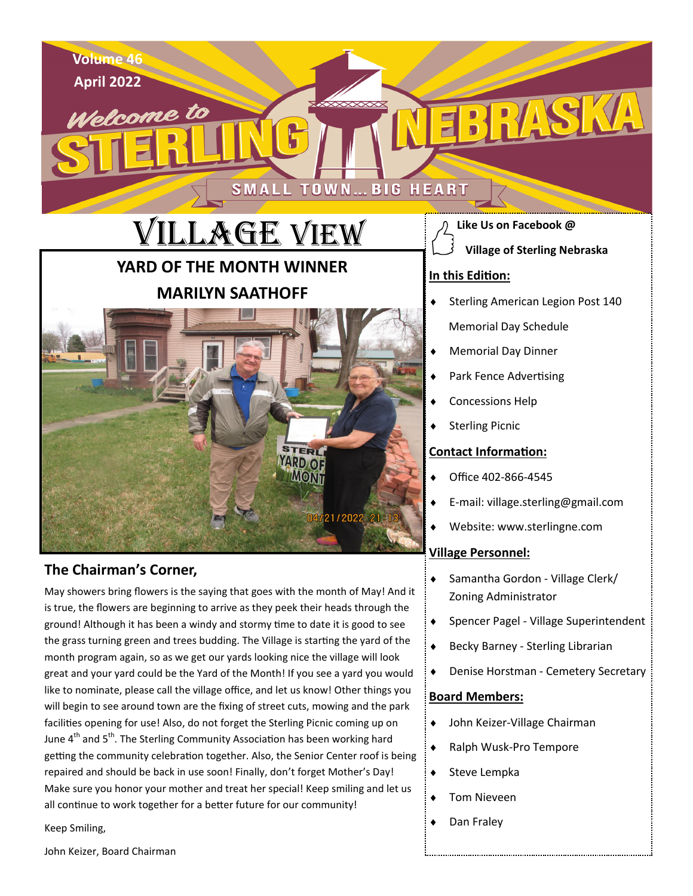

Samantha Gordon - Village Clerk/

Becky Barney - Sterling Librarian

John Keizer-Village Chairman

◆ Ralph Wusk-Pro Tempore

Spencer Pagel - Village Superintendent

Denise Horstman - Cemetery Secretary

Zoning Administrator

**Board Members:**

 $\bullet$  Steve Lempka

◆ Dan Fraley

Tom Nieveen

#### **The Chairman's Corner,**

May showers bring flowers is the saying that goes with the month of May! And it is true, the flowers are beginning to arrive as they peek their heads through the ground! Although it has been a windy and stormy time to date it is good to see the grass turning green and trees budding. The Village is starting the yard of the month program again, so as we get our yards looking nice the village will look great and your yard could be the Yard of the Month! If you see a yard you would like to nominate, please call the village office, and let us know! Other things you will begin to see around town are the fixing of street cuts, mowing and the park facilities opening for use! Also, do not forget the Sterling Picnic coming up on June  $4<sup>th</sup>$  and  $5<sup>th</sup>$ . The Sterling Community Association has been working hard getting the community celebration together. Also, the Senior Center roof is being repaired and should be back in use soon! Finally, don't forget Mother's Day! Make sure you honor your mother and treat her special! Keep smiling and let us all continue to work together for a better future for our community!

Keep Smiling,

John Keizer, Board Chairman